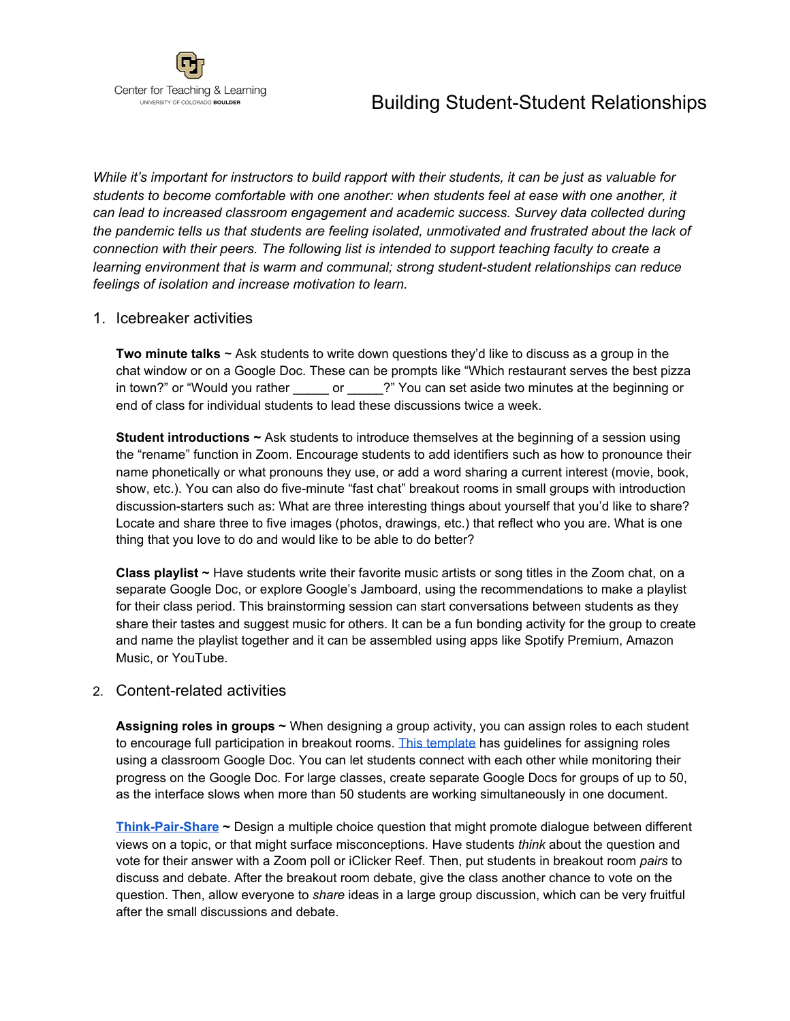## Building Student-Student Relationships



*While it's important for instructors to build rapport with their students, it can be just as valuable for students to become comfortable with one another: when students feel at ease with one another, it can lead to increased classroom engagement and academic success. Survey data collected during the pandemic tells us that students are feeling isolated, unmotivated and frustrated about the lack of connection with their peers. The following list is intended to support teaching faculty to create a learning environment that is warm and communal; strong student-student relationships can reduce feelings of isolation and increase motivation to learn.*

## 1. Icebreaker activities

**Two minute talks** ~ Ask students to write down questions they'd like to discuss as a group in the chat window or on a Google Doc. These can be prompts like "Which restaurant serves the best pizza in town?" or "Would you rather \_\_\_\_\_\_ or \_\_\_\_\_?" You can set aside two minutes at the beginning or end of class for individual students to lead these discussions twice a week.

**Student introductions ~** Ask students to introduce themselves at the beginning of a session using the "rename" function in Zoom. Encourage students to add identifiers such as how to pronounce their name phonetically or what pronouns they use, or add a word sharing a current interest (movie, book, show, etc.). You can also do five-minute "fast chat" breakout rooms in small groups with introduction discussion-starters such as: What are three interesting things about yourself that you'd like to share? Locate and share three to five images (photos, drawings, etc.) that reflect who you are. What is one thing that you love to do and would like to be able to do better?

**Class playlist ~** Have students write their favorite music artists or song titles in the Zoom chat, on a separate Google Doc, or explore Google's Jamboard, using the recommendations to make a playlist for their class period. This brainstorming session can start conversations between students as they share their tastes and suggest music for others. It can be a fun bonding activity for the group to create and name the playlist together and it can be assembled using apps like Spotify Premium, Amazon Music, or YouTube.

## 2. Content-related activities

**Assigning roles in groups ~** When designing a group activity, you can assign roles to each student to encourage full participation in breakout rooms. This [template](https://docs.google.com/document/d/1R8hRCdzhjUBn5ydc8EWjUN5bNbxtUGhA5iuG9aHZWw4/edit) has guidelines for assigning roles using a classroom Google Doc. You can let students connect with each other while monitoring their progress on the Google Doc. For large classes, create separate Google Docs for groups of up to 50, as the interface slows when more than 50 students are working simultaneously in one document.

**[Think-Pair-Share](https://serc.carleton.edu/introgeo/interactive/tpshare.html) ~** Design a multiple choice question that might promote dialogue between different views on a topic, or that might surface misconceptions. Have students *think* about the question and vote for their answer with a Zoom poll or iClicker Reef. Then, put students in breakout room *pairs* to discuss and debate. After the breakout room debate, give the class another chance to vote on the question. Then, allow everyone to *share* ideas in a large group discussion, which can be very fruitful after the small discussions and debate.